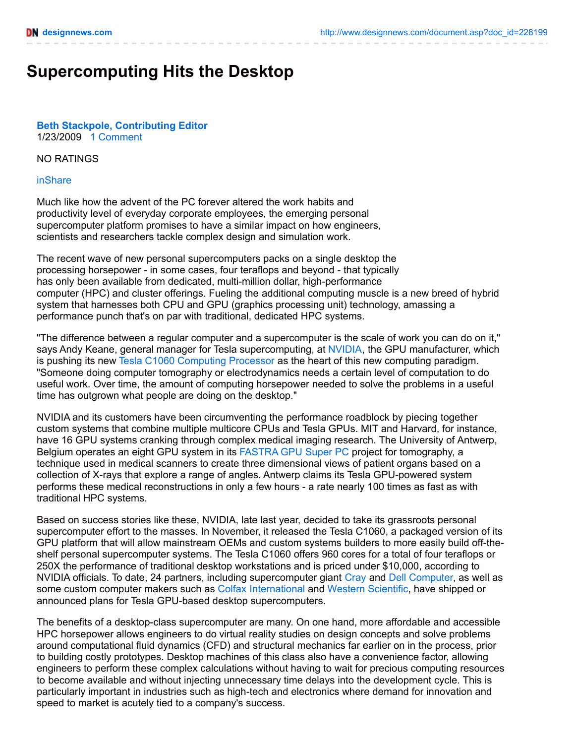# **Supercomputing Hits the Desktop**

### **Beth Stackpole, [Contributing](http://www.designnews.com/document.asp?doc_id=228199&) Editor** 1/23/2009 1 [Comment](http://www.designnews.com/document.asp?doc_id=228199#msgs)

#### NO RATINGS

#### [inShare](javascript:void(0);)

Much like how the advent of the PC forever altered the work habits and productivity level of everyday corporate employees, the emerging personal supercomputer platform promises to have a similar impact on how engineers, scientists and researchers tackle complex design and simulation work.

The recent wave of new personal supercomputers packs on a single desktop the processing horsepower - in some cases, four teraflops and beyond - that typically has only been available from dedicated, multi-million dollar, high-performance computer (HPC) and cluster offerings. Fueling the additional computing muscle is a new breed of hybrid system that harnesses both CPU and GPU (graphics processing unit) technology, amassing a performance punch that's on par with traditional, dedicated HPC systems.

"The difference between a regular computer and a supercomputer is the scale of work you can do on it," says Andy Keane, general manager for Tesla supercomputing, at [NVIDIA](http://www.nvidia.com/), the GPU manufacturer, which is pushing its new Tesla C1060 [Computing](http://www.nvidia.com/object/product_tesla_c1060_us.html) Processor as the heart of this new computing paradigm. "Someone doing computer tomography or electrodynamics needs a certain level of computation to do useful work. Over time, the amount of computing horsepower needed to solve the problems in a useful time has outgrown what people are doing on the desktop."

NVIDIA and its customers have been circumventing the performance roadblock by piecing together custom systems that combine multiple multicore CPUs and Tesla GPUs. MIT and Harvard, for instance, have 16 GPU systems cranking through complex medical imaging research. The University of Antwerp, Belgium operates an eight GPU system in its [FASTRA](http://fastra.ua.ac.be/en/index.html) GPU Super PC project for tomography, a technique used in medical scanners to create three dimensional views of patient organs based on a collection of X-rays that explore a range of angles. Antwerp claims its Tesla GPU-powered system performs these medical reconstructions in only a few hours - a rate nearly 100 times as fast as with traditional HPC systems.

Based on success stories like these, NVIDIA, late last year, decided to take its grassroots personal supercomputer effort to the masses. In November, it released the Tesla C1060, a packaged version of its GPU platform that will allow mainstream OEMs and custom systems builders to more easily build off-theshelf personal supercomputer systems. The Tesla C1060 offers 960 cores for a total of four teraflops or 250X the performance of traditional desktop workstations and is priced under \$10,000, according to NVIDIA officials. To date, 24 partners, including supercomputer giant [Cray](http://www.cray.com/) and Dell [Computer](http://www.dell.com/), as well as some custom computer makers such as Colfax [International](http://www.colfax-intl.com/DL_Documents/Colfax_Tesla.pdf) and Western [Scientific](http://www.wsm.com/), have shipped or announced plans for Tesla GPU-based desktop supercomputers.

The benefits of a desktop-class supercomputer are many. On one hand, more affordable and accessible HPC horsepower allows engineers to do virtual reality studies on design concepts and solve problems around computational fluid dynamics (CFD) and structural mechanics far earlier on in the process, prior to building costly prototypes. Desktop machines of this class also have a convenience factor, allowing engineers to perform these complex calculations without having to wait for precious computing resources to become available and without injecting unnecessary time delays into the development cycle. This is particularly important in industries such as high-tech and electronics where demand for innovation and speed to market is acutely tied to a company's success.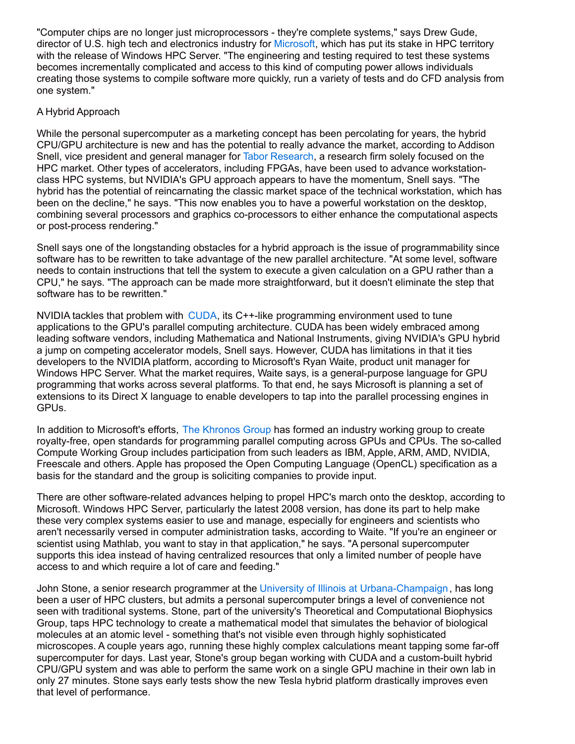"Computer chips are no longer just microprocessors - they're complete systems," says Drew Gude, director of U.S. high tech and electronics industry for [Microsoft](http://www.microsoft.com/), which has put its stake in HPC territory with the release of Windows HPC Server. "The engineering and testing required to test these systems becomes incrementally complicated and access to this kind of computing power allows individuals creating those systems to compile software more quickly, run a variety of tests and do CFD analysis from one system."

## A Hybrid Approach

While the personal supercomputer as a marketing concept has been percolating for years, the hybrid CPU/GPU architecture is new and has the potential to really advance the market, according to Addison Snell, vice president and general manager for Tabor [Research](http://www.taborresearch.com/), a research firm solely focused on the HPC market. Other types of accelerators, including FPGAs, have been used to advance workstationclass HPC systems, but NVIDIA's GPU approach appears to have the momentum, Snell says. "The hybrid has the potential of reincarnating the classic market space of the technical workstation, which has been on the decline," he says. "This now enables you to have a powerful workstation on the desktop, combining several processors and graphics co-processors to either enhance the computational aspects or post-process rendering."

Snell says one of the longstanding obstacles for a hybrid approach is the issue of programmability since software has to be rewritten to take advantage of the new parallel architecture. "At some level, software needs to contain instructions that tell the system to execute a given calculation on a GPU rather than a CPU," he says. "The approach can be made more straightforward, but it doesn't eliminate the step that software has to be rewritten."

NVIDIA tackles that problem with [CUDA](http://www.nvidia.com/object/cuda_home.html), its C++-like programming environment used to tune applications to the GPU's parallel computing architecture. CUDA has been widely embraced among leading software vendors, including Mathematica and National Instruments, giving NVIDIA's GPU hybrid a jump on competing accelerator models, Snell says. However, CUDA has limitations in that it ties developers to the NVIDIA platform, according to Microsoft's Ryan Waite, product unit manager for Windows HPC Server. What the market requires, Waite says, is a general-purpose language for GPU programming that works across several platforms. To that end, he says Microsoft is planning a set of extensions to its Direct X language to enable developers to tap into the parallel processing engines in GPUs.

In addition to Microsoft's efforts, The [Khronos](http://www.khronos.org/news/press/releases/khronos_launches_heterogeneous_computing_initiative/) Group has formed an industry working group to create royalty-free, open standards for programming parallel computing across GPUs and CPUs. The so-called Compute Working Group includes participation from such leaders as IBM, Apple, ARM, AMD, NVIDIA, Freescale and others. Apple has proposed the Open Computing Language (OpenCL) specification as a basis for the standard and the group is soliciting companies to provide input.

There are other software-related advances helping to propel HPC's march onto the desktop, according to Microsoft. Windows HPC Server, particularly the latest 2008 version, has done its part to help make these very complex systems easier to use and manage, especially for engineers and scientists who aren't necessarily versed in computer administration tasks, according to Waite. "If you're an engineer or scientist using Mathlab, you want to stay in that application," he says. "A personal supercomputer supports this idea instead of having centralized resources that only a limited number of people have access to and which require a lot of care and feeding."

John Stone, a senior research programmer at the University of Illinois at [Urbana-Champaign](http://www.ks.uiuc.edu/), has long been a user of HPC clusters, but admits a personal supercomputer brings a level of convenience not seen with traditional systems. Stone, part of the university's Theoretical and Computational Biophysics Group, taps HPC technology to create a mathematical model that simulates the behavior of biological molecules at an atomic level - something that's not visible even through highly sophisticated microscopes. A couple years ago, running these highly complex calculations meant tapping some far-off supercomputer for days. Last year, Stone's group began working with CUDA and a custom-built hybrid CPU/GPU system and was able to perform the same work on a single GPU machine in their own lab in only 27 minutes. Stone says early tests show the new Tesla hybrid platform drastically improves even that level of performance.